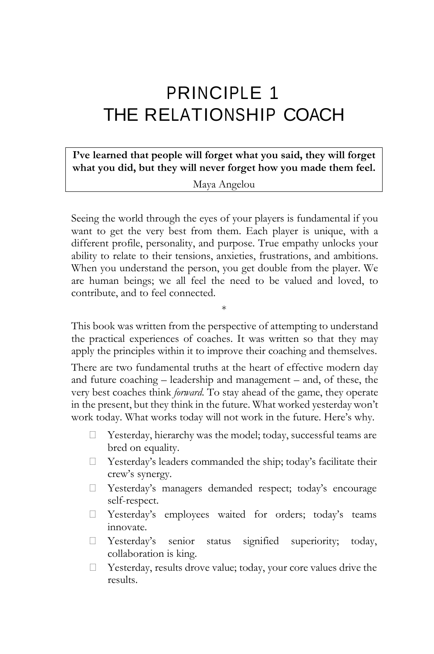# PRINCIPI F 1 THE RELATIONSHIP COACH

**I've learned that people will forget what you said, they will forget what you did, but they will never forget how you made them feel.**

Maya Angelou

Seeing the world through the eyes of your players is fundamental if you want to get the very best from them. Each player is unique, with a different profile, personality, and purpose. True empathy unlocks your ability to relate to their tensions, anxieties, frustrations, and ambitions. When you understand the person, you get double from the player. We are human beings; we all feel the need to be valued and loved, to contribute, and to feel connected.

This book was written from the perspective of attempting to understand the practical experiences of coaches. It was written so that they may apply the principles within it to improve their coaching and themselves.

\*

There are two fundamental truths at the heart of effective modern day and future coaching – leadership and management – and, of these, the very best coaches think *forward*. To stay ahead of the game, they operate in the present, but they think in the future. What worked yesterday won't work today. What works today will not work in the future. Here's why.

- Yesterday, hierarchy was the model; today, successful teams are bred on equality.
- Yesterday's leaders commanded the ship; today's facilitate their crew's synergy.
- Yesterday's managers demanded respect; today's encourage self-respect.
- Yesterday's employees waited for orders; today's teams innovate.
- Yesterday's senior status signified superiority; today, collaboration is king.
- $\Box$  Yesterday, results drove value; today, your core values drive the results.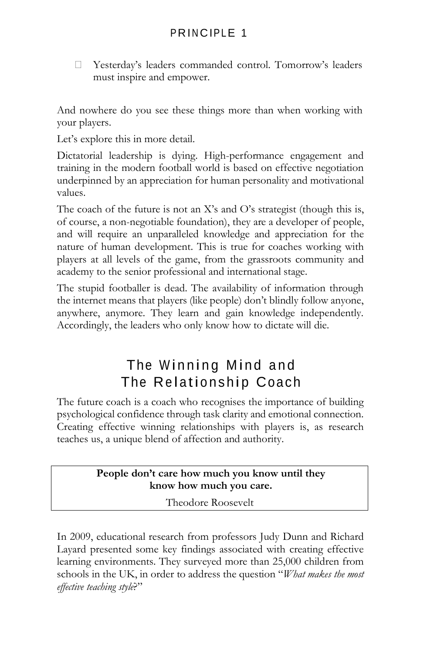Yesterday's leaders commanded control. Tomorrow's leaders must inspire and empower.

And nowhere do you see these things more than when working with your players.

Let's explore this in more detail.

Dictatorial leadership is dying. High-performance engagement and training in the modern football world is based on effective negotiation underpinned by an appreciation for human personality and motivational values.

The coach of the future is not an X's and O's strategist (though this is, of course, a non-negotiable foundation), they are a developer of people, and will require an unparalleled knowledge and appreciation for the nature of human development. This is true for coaches working with players at all levels of the game, from the grassroots community and academy to the senior professional and international stage.

The stupid footballer is dead. The availability of information through the internet means that players (like people) don't blindly follow anyone, anywhere, anymore. They learn and gain knowledge independently. Accordingly, the leaders who only know how to dictate will die.

### The Winning Mind and The Relationship Coach

The future coach is a coach who recognises the importance of building psychological confidence through task clarity and emotional connection. Creating effective winning relationships with players is, as research teaches us, a unique blend of affection and authority.

#### **People don't care how much you know until they know how much you care.**

Theodore Roosevelt

In 2009, educational research from professors Judy Dunn and Richard Layard presented some key findings associated with creating effective learning environments. They surveyed more than 25,000 children from schools in the UK, in order to address the question "*What makes the most effective teaching style*?"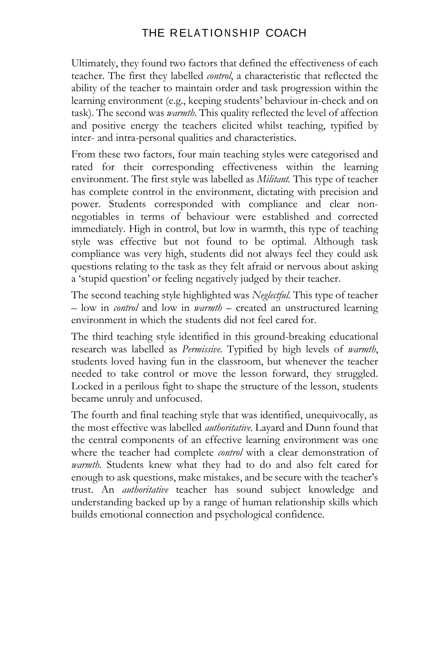Ultimately, they found two factors that defined the effectiveness of each teacher. The first they labelled *control*, a characteristic that reflected the ability of the teacher to maintain order and task progression within the learning environment (e.g., keeping students' behaviour in-check and on task). The second was *warmth.* This quality reflected the level of affection and positive energy the teachers elicited whilst teaching, typified by inter- and intra-personal qualities and characteristics.

From these two factors, four main teaching styles were categorised and rated for their corresponding effectiveness within the learning environment. The first style was labelled as *Militant.* This type of teacher has complete control in the environment, dictating with precision and power. Students corresponded with compliance and clear nonnegotiables in terms of behaviour were established and corrected immediately. High in control, but low in warmth, this type of teaching style was effective but not found to be optimal. Although task compliance was very high, students did not always feel they could ask questions relating to the task as they felt afraid or nervous about asking a 'stupid question' or feeling negatively judged by their teacher.

The second teaching style highlighted was *Neglectful.* This type of teacher – low in *control* and low in *warmth* – created an unstructured learning environment in which the students did not feel cared for.

The third teaching style identified in this ground-breaking educational research was labelled as *Permissive.* Typified by high levels of *warmth*, students loved having fun in the classroom, but whenever the teacher needed to take control or move the lesson forward, they struggled. Locked in a perilous fight to shape the structure of the lesson, students became unruly and unfocused.

The fourth and final teaching style that was identified, unequivocally, as the most effective was labelled *authoritative.* Layard and Dunn found that the central components of an effective learning environment was one where the teacher had complete *control* with a clear demonstration of *warmth.* Students knew what they had to do and also felt cared for enough to ask questions, make mistakes, and be secure with the teacher's trust. An *authoritative* teacher has sound subject knowledge and understanding backed up by a range of human relationship skills which builds emotional connection and psychological confidence.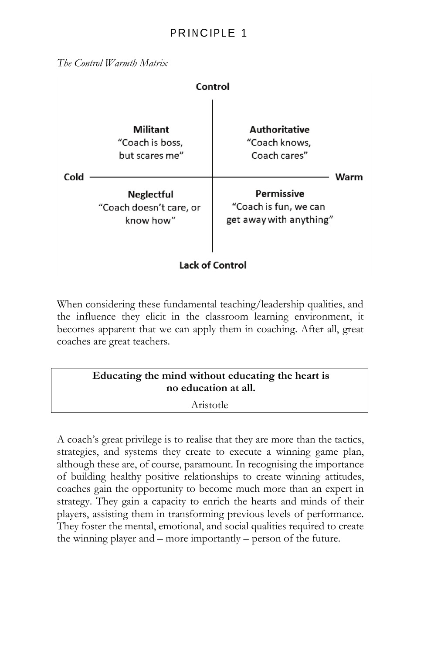*The Control Warmth Matrix*



When considering these fundamental teaching/leadership qualities, and the influence they elicit in the classroom learning environment, it becomes apparent that we can apply them in coaching. After all, great coaches are great teachers.

| Educating the mind without educating the heart is<br>no education at all. |  |
|---------------------------------------------------------------------------|--|
| Aristotle                                                                 |  |

A coach's great privilege is to realise that they are more than the tactics, strategies, and systems they create to execute a winning game plan, although these are, of course, paramount. In recognising the importance of building healthy positive relationships to create winning attitudes, coaches gain the opportunity to become much more than an expert in strategy. They gain a capacity to enrich the hearts and minds of their players, assisting them in transforming previous levels of performance. They foster the mental, emotional, and social qualities required to create the winning player and – more importantly – person of the future.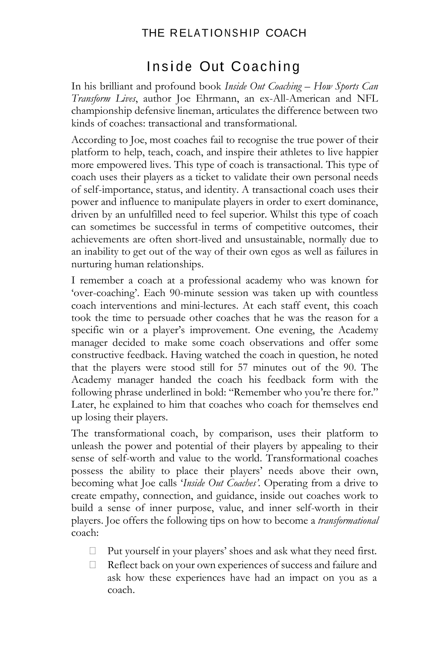### Inside Out Coaching

In his brilliant and profound book *Inside Out Coaching – How Sports Can Transform Lives*, author Joe Ehrmann, an ex-All-American and NFL championship defensive lineman, articulates the difference between two kinds of coaches: transactional and transformational.

According to Joe, most coaches fail to recognise the true power of their platform to help, teach, coach, and inspire their athletes to live happier more empowered lives. This type of coach is transactional. This type of coach uses their players as a ticket to validate their own personal needs of self-importance, status, and identity. A transactional coach uses their power and influence to manipulate players in order to exert dominance, driven by an unfulfilled need to feel superior. Whilst this type of coach can sometimes be successful in terms of competitive outcomes, their achievements are often short-lived and unsustainable, normally due to an inability to get out of the way of their own egos as well as failures in nurturing human relationships.

I remember a coach at a professional academy who was known for 'over-coaching'. Each 90-minute session was taken up with countless coach interventions and mini-lectures. At each staff event, this coach took the time to persuade other coaches that he was the reason for a specific win or a player's improvement. One evening, the Academy manager decided to make some coach observations and offer some constructive feedback. Having watched the coach in question, he noted that the players were stood still for 57 minutes out of the 90. The Academy manager handed the coach his feedback form with the following phrase underlined in bold: "Remember who you're there for." Later, he explained to him that coaches who coach for themselves end up losing their players.

The transformational coach, by comparison, uses their platform to unleash the power and potential of their players by appealing to their sense of self-worth and value to the world. Transformational coaches possess the ability to place their players' needs above their own, becoming what Joe calls '*Inside Out Coaches'.* Operating from a drive to create empathy, connection, and guidance, inside out coaches work to build a sense of inner purpose, value, and inner self-worth in their players. Joe offers the following tips on how to become a *transformational* coach:

- $\Box$  Put yourself in your players' shoes and ask what they need first.
- $\Box$  Reflect back on your own experiences of success and failure and ask how these experiences have had an impact on you as a coach.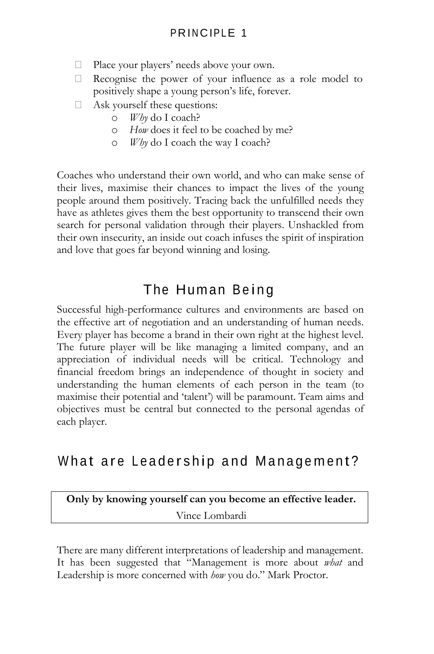- □ Place your players' needs above your own.
- Recognise the power of your influence as a role model to positively shape a young person's life, forever.
- $\Box$  Ask yourself these questions:
	- o *Why* do I coach?
	- o *How* does it feel to be coached by me?
	- o *Why* do I coach the way I coach?

Coaches who understand their own world, and who can make sense of their lives, maximise their chances to impact the lives of the young people around them positively. Tracing back the unfulfilled needs they have as athletes gives them the best opportunity to transcend their own search for personal validation through their players. Unshackled from their own insecurity, an inside out coach infuses the spirit of inspiration and love that goes far beyond winning and losing.

### The Human Being

Successful high-performance cultures and environments are based on the effective art of negotiation and an understanding of human needs. Every player has become a brand in their own right at the highest level. The future player will be like managing a limited company, and an appreciation of individual needs will be critical. Technology and financial freedom brings an independence of thought in society and understanding the human elements of each person in the team (to maximise their potential and 'talent') will be paramount. Team aims and objectives must be central but connected to the personal agendas of each player.

### What are Leadership and Management?

### **Only by knowing yourself can you become an effective leader.** Vince Lombardi

There are many different interpretations of leadership and management. It has been suggested that "Management is more about *what* and Leadership is more concerned with *how* you do." Mark Proctor.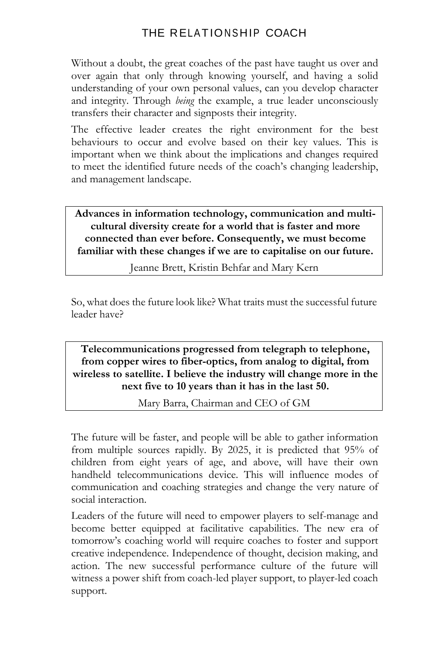Without a doubt, the great coaches of the past have taught us over and over again that only through knowing yourself, and having a solid understanding of your own personal values, can you develop character and integrity. Through *being* the example, a true leader unconsciously transfers their character and signposts their integrity.

The effective leader creates the right environment for the best behaviours to occur and evolve based on their key values. This is important when we think about the implications and changes required to meet the identified future needs of the coach's changing leadership, and management landscape.

**Advances in information technology, communication and multicultural diversity create for a world that is faster and more connected than ever before. Consequently, we must become familiar with these changes if we are to capitalise on our future.**

Jeanne Brett, Kristin Behfar and Mary Kern

So, what does the future look like? What traits must the successful future leader have?

**Telecommunications progressed from telegraph to telephone, from copper wires to fiber-optics, from analog to digital, from wireless to satellite. I believe the industry will change more in the next five to 10 years than it has in the last 50.**

Mary Barra, Chairman and CEO of GM

The future will be faster, and people will be able to gather information from multiple sources rapidly. By 2025, it is predicted that 95% of children from eight years of age, and above, will have their own handheld telecommunications device. This will influence modes of communication and coaching strategies and change the very nature of social interaction.

Leaders of the future will need to empower players to self-manage and become better equipped at facilitative capabilities. The new era of tomorrow's coaching world will require coaches to foster and support creative independence. Independence of thought, decision making, and action. The new successful performance culture of the future will witness a power shift from coach-led player support, to player-led coach support.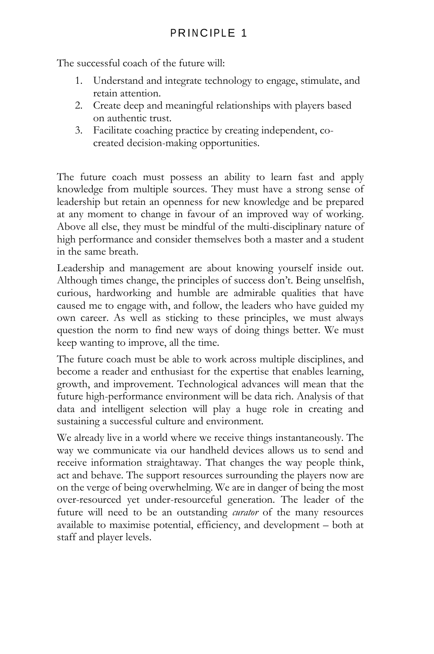The successful coach of the future will:

- 1. Understand and integrate technology to engage, stimulate, and retain attention.
- 2. Create deep and meaningful relationships with players based on authentic trust.
- 3. Facilitate coaching practice by creating independent, cocreated decision-making opportunities.

The future coach must possess an ability to learn fast and apply knowledge from multiple sources. They must have a strong sense of leadership but retain an openness for new knowledge and be prepared at any moment to change in favour of an improved way of working. Above all else, they must be mindful of the multi-disciplinary nature of high performance and consider themselves both a master and a student in the same breath.

Leadership and management are about knowing yourself inside out. Although times change, the principles of success don't. Being unselfish, curious, hardworking and humble are admirable qualities that have caused me to engage with, and follow, the leaders who have guided my own career. As well as sticking to these principles, we must always question the norm to find new ways of doing things better. We must keep wanting to improve, all the time.

The future coach must be able to work across multiple disciplines, and become a reader and enthusiast for the expertise that enables learning, growth, and improvement. Technological advances will mean that the future high-performance environment will be data rich. Analysis of that data and intelligent selection will play a huge role in creating and sustaining a successful culture and environment.

We already live in a world where we receive things instantaneously. The way we communicate via our handheld devices allows us to send and receive information straightaway. That changes the way people think, act and behave. The support resources surrounding the players now are on the verge of being overwhelming. We are in danger of being the most over-resourced yet under-resourceful generation. The leader of the future will need to be an outstanding *curator* of the many resources available to maximise potential, efficiency, and development – both at staff and player levels.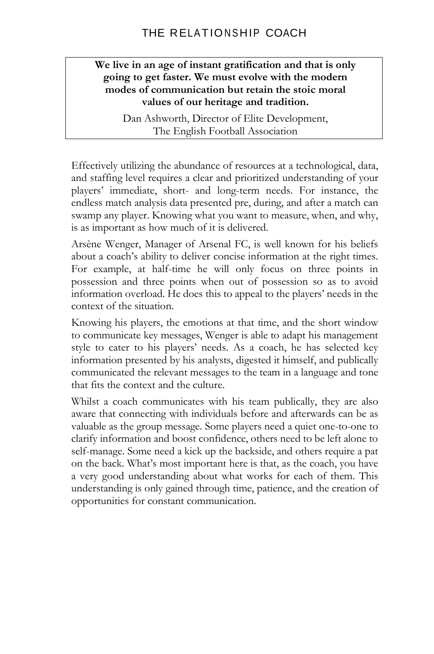#### **We live in an age of instant gratification and that is only going to get faster. We must evolve with the modern modes of communication but retain the stoic moral values of our heritage and tradition.**

Dan Ashworth, Director of Elite Development, The English Football Association

Effectively utilizing the abundance of resources at a technological, data, and staffing level requires a clear and prioritized understanding of your players' immediate, short- and long-term needs. For instance, the endless match analysis data presented pre, during, and after a match can swamp any player. Knowing what you want to measure, when, and why, is as important as how much of it is delivered.

Arsène Wenger, Manager of Arsenal FC, is well known for his beliefs about a coach's ability to deliver concise information at the right times. For example, at half-time he will only focus on three points in possession and three points when out of possession so as to avoid information overload. He does this to appeal to the players' needs in the context of the situation.

Knowing his players, the emotions at that time, and the short window to communicate key messages, Wenger is able to adapt his management style to cater to his players' needs. As a coach, he has selected key information presented by his analysts, digested it himself, and publically communicated the relevant messages to the team in a language and tone that fits the context and the culture.

Whilst a coach communicates with his team publically, they are also aware that connecting with individuals before and afterwards can be as valuable as the group message. Some players need a quiet one-to-one to clarify information and boost confidence, others need to be left alone to self-manage. Some need a kick up the backside, and others require a pat on the back. What's most important here is that, as the coach, you have a very good understanding about what works for each of them. This understanding is only gained through time, patience, and the creation of opportunities for constant communication.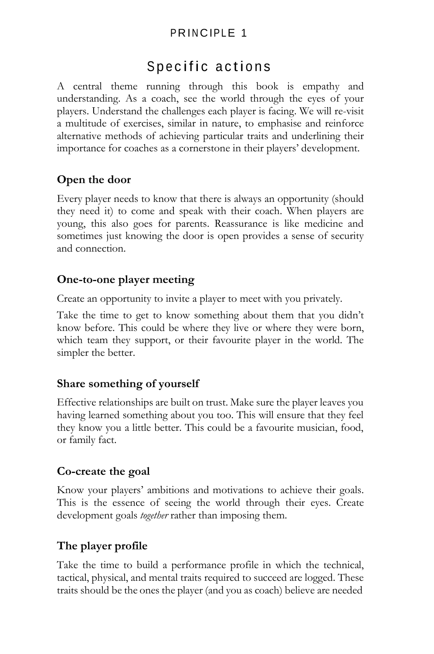### Specific actions

A central theme running through this book is empathy and understanding. As a coach, see the world through the eyes of your players. Understand the challenges each player is facing. We will re-visit a multitude of exercises, similar in nature, to emphasise and reinforce alternative methods of achieving particular traits and underlining their importance for coaches as a cornerstone in their players' development.

### **Open the door**

Every player needs to know that there is always an opportunity (should they need it) to come and speak with their coach. When players are young, this also goes for parents. Reassurance is like medicine and sometimes just knowing the door is open provides a sense of security and connection.

### **One-to-one player meeting**

Create an opportunity to invite a player to meet with you privately.

Take the time to get to know something about them that you didn't know before. This could be where they live or where they were born, which team they support, or their favourite player in the world. The simpler the better.

### **Share something of yourself**

Effective relationships are built on trust. Make sure the player leaves you having learned something about you too. This will ensure that they feel they know you a little better. This could be a favourite musician, food, or family fact.

### **Co-create the goal**

Know your players' ambitions and motivations to achieve their goals. This is the essence of seeing the world through their eyes. Create development goals *together* rather than imposing them.

### **The player profile**

Take the time to build a performance profile in which the technical, tactical, physical, and mental traits required to succeed are logged. These traits should be the ones the player (and you as coach) believe are needed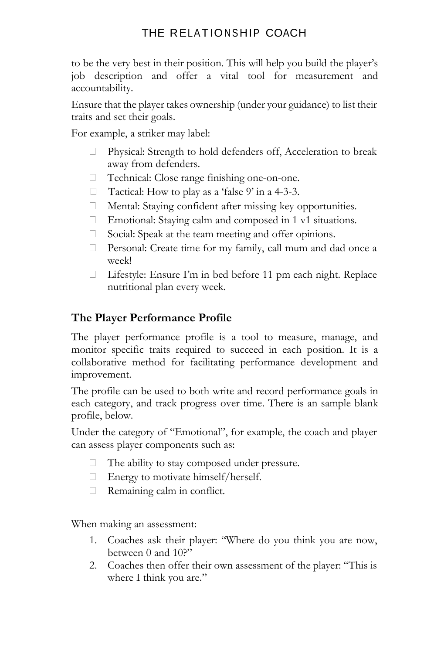to be the very best in their position. This will help you build the player's job description and offer a vital tool for measurement and accountability.

Ensure that the player takes ownership (under your guidance) to list their traits and set their goals.

For example, a striker may label:

- Physical: Strength to hold defenders off, Acceleration to break away from defenders.
- □ Technical: Close range finishing one-on-one.
- $\Box$  Tactical: How to play as a 'false 9' in a 4-3-3.
- Mental: Staying confident after missing key opportunities.
- Emotional: Staying calm and composed in 1 v1 situations.
- $\Box$  Social: Speak at the team meeting and offer opinions.
- Personal: Create time for my family, call mum and dad once a week!
- Lifestyle: Ensure I'm in bed before 11 pm each night. Replace nutritional plan every week.

### **The Player Performance Profile**

The player performance profile is a tool to measure, manage, and monitor specific traits required to succeed in each position. It is a collaborative method for facilitating performance development and improvement.

The profile can be used to both write and record performance goals in each category, and track progress over time. There is an sample blank profile, below.

Under the category of "Emotional", for example, the coach and player can assess player components such as:

- $\Box$  The ability to stay composed under pressure.
- $\Box$  Energy to motivate himself/herself.
- Remaining calm in conflict.

When making an assessment:

- 1. Coaches ask their player: "Where do you think you are now, between 0 and 10?"
- 2. Coaches then offer their own assessment of the player: "This is where I think you are."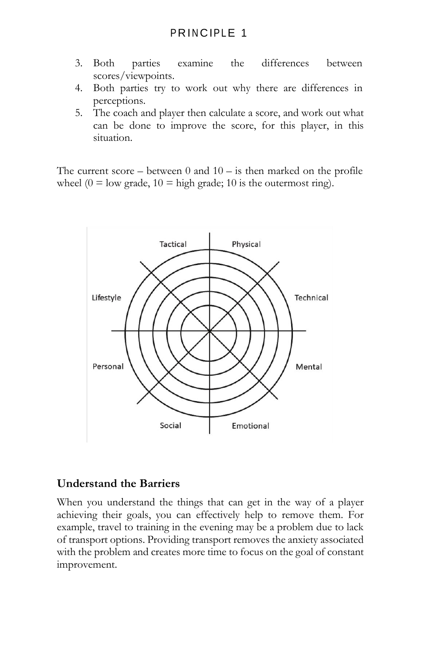- 3. Both parties examine the differences between scores/viewpoints.
- 4. Both parties try to work out why there are differences in perceptions.
- 5. The coach and player then calculate a score, and work out what can be done to improve the score, for this player, in this situation.

The current score – between  $0$  and  $10 - i$ s then marked on the profile wheel  $(0 = low\,\text{grade}, 10 = high\,\text{grade}, 10 \,\text{is the outermost ring}).$ 



#### **Understand the Barriers**

When you understand the things that can get in the way of a player achieving their goals, you can effectively help to remove them. For example, travel to training in the evening may be a problem due to lack of transport options. Providing transport removes the anxiety associated with the problem and creates more time to focus on the goal of constant improvement.